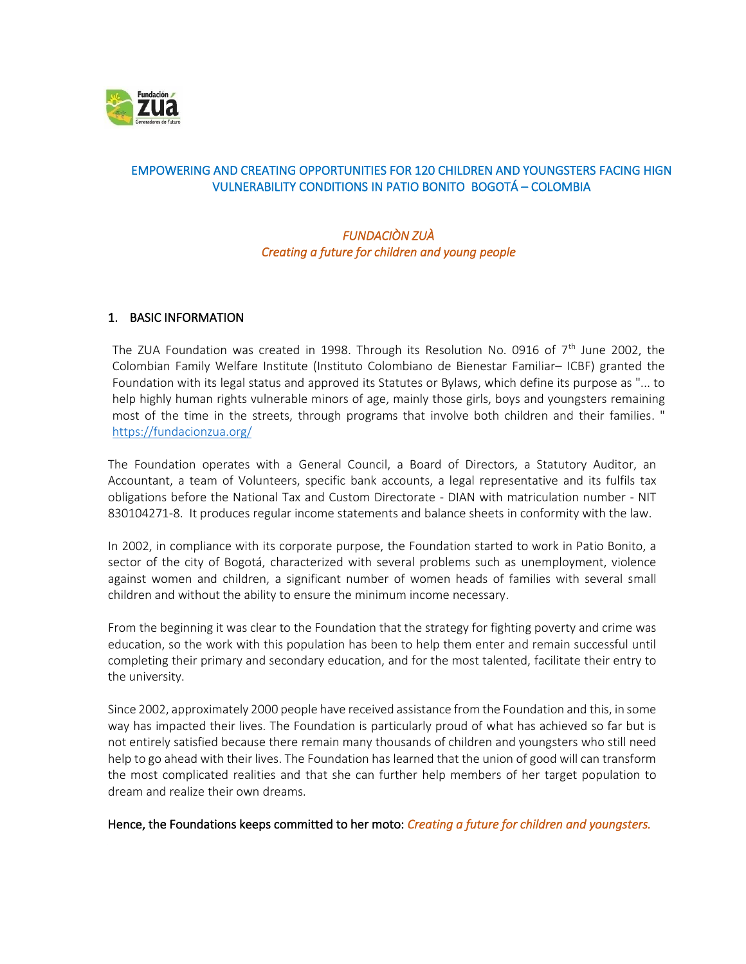

# EMPOWERING AND CREATING OPPORTUNITIES FOR 120 CHILDREN AND YOUNGSTERS FACING HIGN VULNERABILITY CONDITIONS IN PATIO BONITO BOGOTÁ – COLOMBIA

# *FUNDACIÒN ZUÀ Creating a future for children and young people*

## 1. BASIC INFORMATION

The ZUA Foundation was created in 1998. Through its Resolution No. 0916 of  $7<sup>th</sup>$  June 2002, the Colombian Family Welfare Institute (Instituto Colombiano de Bienestar Familiar– ICBF) granted the Foundation with its legal status and approved its Statutes or Bylaws, which define its purpose as "... to help highly human rights vulnerable minors of age, mainly those girls, boys and youngsters remaining most of the time in the streets, through programs that involve both children and their families. " <https://fundacionzua.org/>

The Foundation operates with a General Council, a Board of Directors, a Statutory Auditor, an Accountant, a team of Volunteers, specific bank accounts, a legal representative and its fulfils tax obligations before the National Tax and Custom Directorate - DIAN with matriculation number - NIT 830104271-8. It produces regular income statements and balance sheets in conformity with the law.

In 2002, in compliance with its corporate purpose, the Foundation started to work in Patio Bonito, a sector of the city of Bogotá, characterized with several problems such as unemployment, violence against women and children, a significant number of women heads of families with several small children and without the ability to ensure the minimum income necessary.

From the beginning it was clear to the Foundation that the strategy for fighting poverty and crime was education, so the work with this population has been to help them enter and remain successful until completing their primary and secondary education, and for the most talented, facilitate their entry to the university.

Since 2002, approximately 2000 people have received assistance from the Foundation and this, in some way has impacted their lives. The Foundation is particularly proud of what has achieved so far but is not entirely satisfied because there remain many thousands of children and youngsters who still need help to go ahead with their lives. The Foundation has learned that the union of good will can transform the most complicated realities and that she can further help members of her target population to dream and realize their own dreams.

Hence, the Foundations keeps committed to her moto: *Creating a future for children and youngsters.*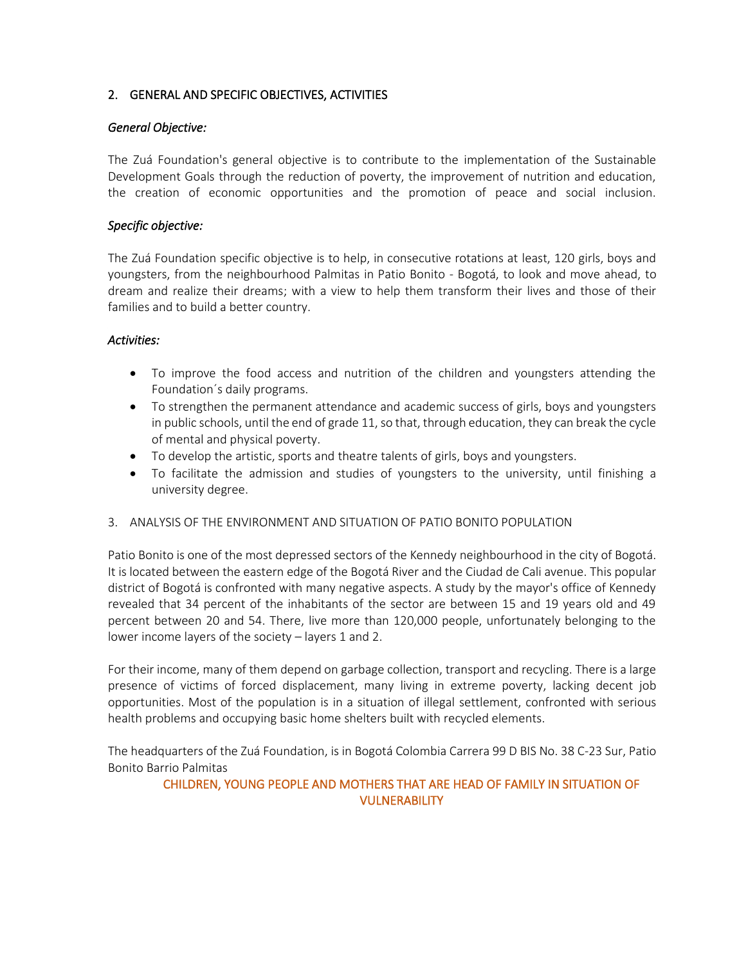## 2. GENERAL AND SPECIFIC OBJECTIVES, ACTIVITIES

### *General Objective:*

The Zuá Foundation's general objective is to contribute to the implementation of the Sustainable Development Goals through the reduction of poverty, the improvement of nutrition and education, the creation of economic opportunities and the promotion of peace and social inclusion.

## *Specific objective:*

The Zuá Foundation specific objective is to help, in consecutive rotations at least, 120 girls, boys and youngsters, from the neighbourhood Palmitas in Patio Bonito - Bogotá, to look and move ahead, to dream and realize their dreams; with a view to help them transform their lives and those of their families and to build a better country.

### *Activities:*

- To improve the food access and nutrition of the children and youngsters attending the Foundation´s daily programs.
- To strengthen the permanent attendance and academic success of girls, boys and youngsters in public schools, until the end of grade 11, so that, through education, they can break the cycle of mental and physical poverty.
- To develop the artistic, sports and theatre talents of girls, boys and youngsters.
- To facilitate the admission and studies of youngsters to the university, until finishing a university degree.

#### 3. ANALYSIS OF THE ENVIRONMENT AND SITUATION OF PATIO BONITO POPULATION

Patio Bonito is one of the most depressed sectors of the Kennedy neighbourhood in the city of Bogotá. It is located between the eastern edge of the Bogotá River and the Ciudad de Cali avenue. This popular district of Bogotá is confronted with many negative aspects. A study by the mayor's office of Kennedy revealed that 34 percent of the inhabitants of the sector are between 15 and 19 years old and 49 percent between 20 and 54. There, live more than 120,000 people, unfortunately belonging to the lower income layers of the society – layers 1 and 2.

For their income, many of them depend on garbage collection, transport and recycling. There is a large presence of victims of forced displacement, many living in extreme poverty, lacking decent job opportunities. Most of the population is in a situation of illegal settlement, confronted with serious health problems and occupying basic home shelters built with recycled elements.

The headquarters of the Zuá Foundation, is in Bogotá Colombia Carrera 99 D BIS No. 38 C-23 Sur, Patio Bonito Barrio Palmitas

## CHILDREN, YOUNG PEOPLE AND MOTHERS THAT ARE HEAD OF FAMILY IN SITUATION OF **VULNERABILITY**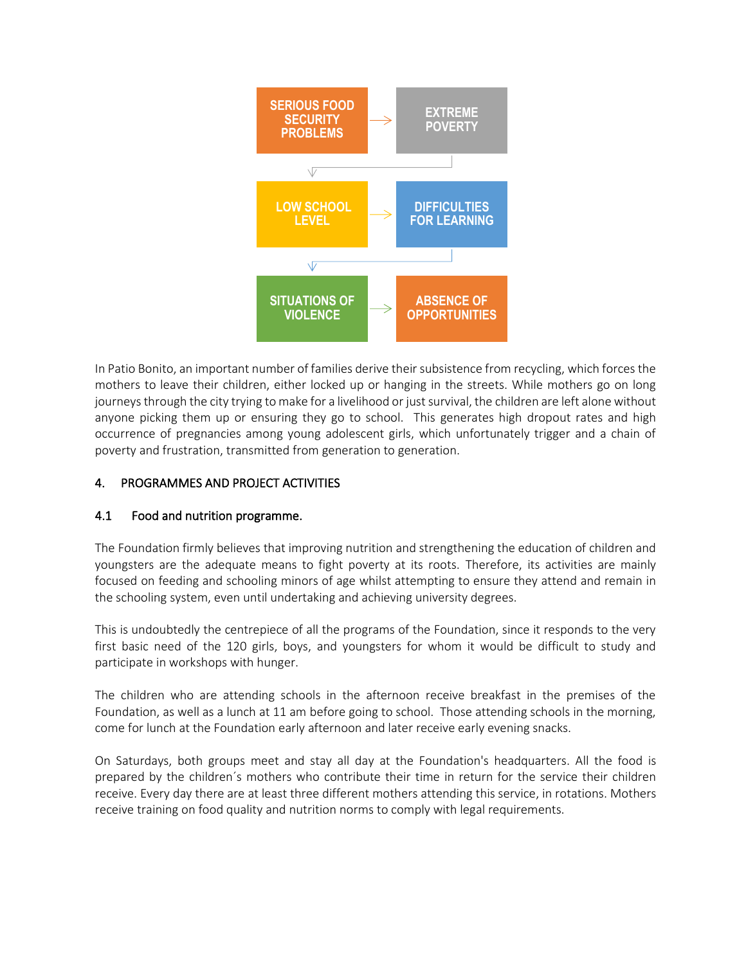

In Patio Bonito, an important number of families derive their subsistence from recycling, which forces the mothers to leave their children, either locked up or hanging in the streets. While mothers go on long journeys through the city trying to make for a livelihood or just survival, the children are left alone without anyone picking them up or ensuring they go to school. This generates high dropout rates and high occurrence of pregnancies among young adolescent girls, which unfortunately trigger and a chain of poverty and frustration, transmitted from generation to generation.

# 4. PROGRAMMES AND PROJECT ACTIVITIES

## 4.1 Food and nutrition programme.

The Foundation firmly believes that improving nutrition and strengthening the education of children and youngsters are the adequate means to fight poverty at its roots. Therefore, its activities are mainly focused on feeding and schooling minors of age whilst attempting to ensure they attend and remain in the schooling system, even until undertaking and achieving university degrees.

This is undoubtedly the centrepiece of all the programs of the Foundation, since it responds to the very first basic need of the 120 girls, boys, and youngsters for whom it would be difficult to study and participate in workshops with hunger.

The children who are attending schools in the afternoon receive breakfast in the premises of the Foundation, as well as a lunch at 11 am before going to school. Those attending schools in the morning, come for lunch at the Foundation early afternoon and later receive early evening snacks.

On Saturdays, both groups meet and stay all day at the Foundation's headquarters. All the food is prepared by the children´s mothers who contribute their time in return for the service their children receive. Every day there are at least three different mothers attending this service, in rotations. Mothers receive training on food quality and nutrition norms to comply with legal requirements.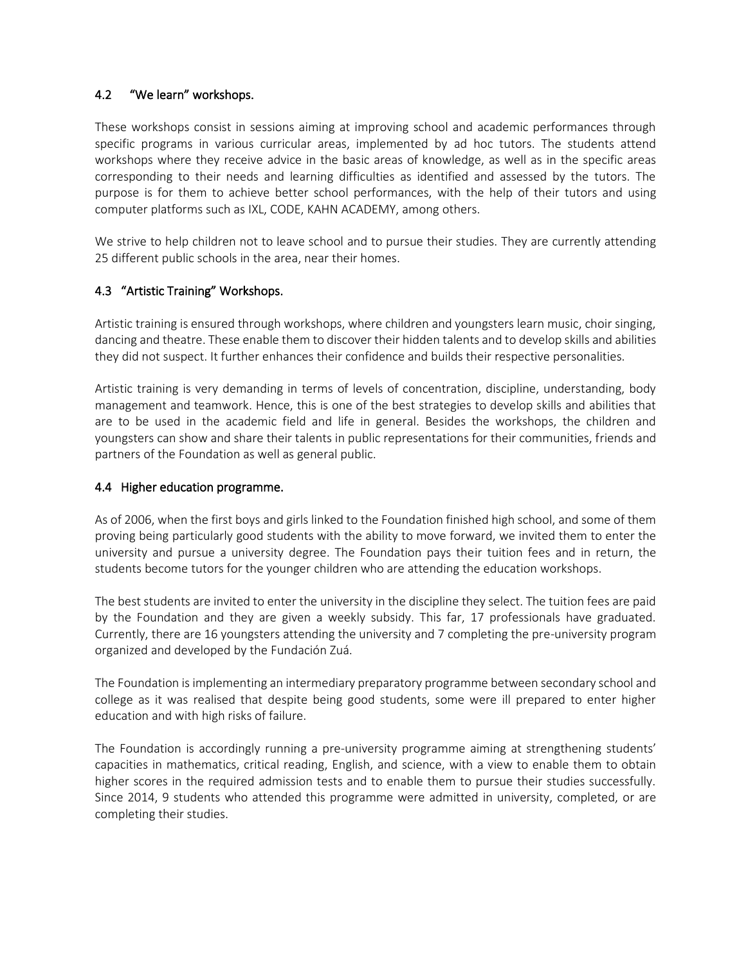## 4.2 "We learn" workshops.

These workshops consist in sessions aiming at improving school and academic performances through specific programs in various curricular areas, implemented by ad hoc tutors. The students attend workshops where they receive advice in the basic areas of knowledge, as well as in the specific areas corresponding to their needs and learning difficulties as identified and assessed by the tutors. The purpose is for them to achieve better school performances, with the help of their tutors and using computer platforms such as IXL, CODE, KAHN ACADEMY, among others.

We strive to help children not to leave school and to pursue their studies. They are currently attending 25 different public schools in the area, near their homes.

## 4.3 "Artistic Training" Workshops.

Artistic training is ensured through workshops, where children and youngsters learn music, choir singing, dancing and theatre. These enable them to discover their hidden talents and to develop skills and abilities they did not suspect. It further enhances their confidence and builds their respective personalities.

Artistic training is very demanding in terms of levels of concentration, discipline, understanding, body management and teamwork. Hence, this is one of the best strategies to develop skills and abilities that are to be used in the academic field and life in general. Besides the workshops, the children and youngsters can show and share their talents in public representations for their communities, friends and partners of the Foundation as well as general public.

## 4.4 Higher education programme.

As of 2006, when the first boys and girls linked to the Foundation finished high school, and some of them proving being particularly good students with the ability to move forward, we invited them to enter the university and pursue a university degree. The Foundation pays their tuition fees and in return, the students become tutors for the younger children who are attending the education workshops.

The best students are invited to enter the university in the discipline they select. The tuition fees are paid by the Foundation and they are given a weekly subsidy. This far, 17 professionals have graduated. Currently, there are 16 youngsters attending the university and 7 completing the pre-university program organized and developed by the Fundación Zuá.

The Foundation is implementing an intermediary preparatory programme between secondary school and college as it was realised that despite being good students, some were ill prepared to enter higher education and with high risks of failure.

The Foundation is accordingly running a pre-university programme aiming at strengthening students' capacities in mathematics, critical reading, English, and science, with a view to enable them to obtain higher scores in the required admission tests and to enable them to pursue their studies successfully. Since 2014, 9 students who attended this programme were admitted in university, completed, or are completing their studies.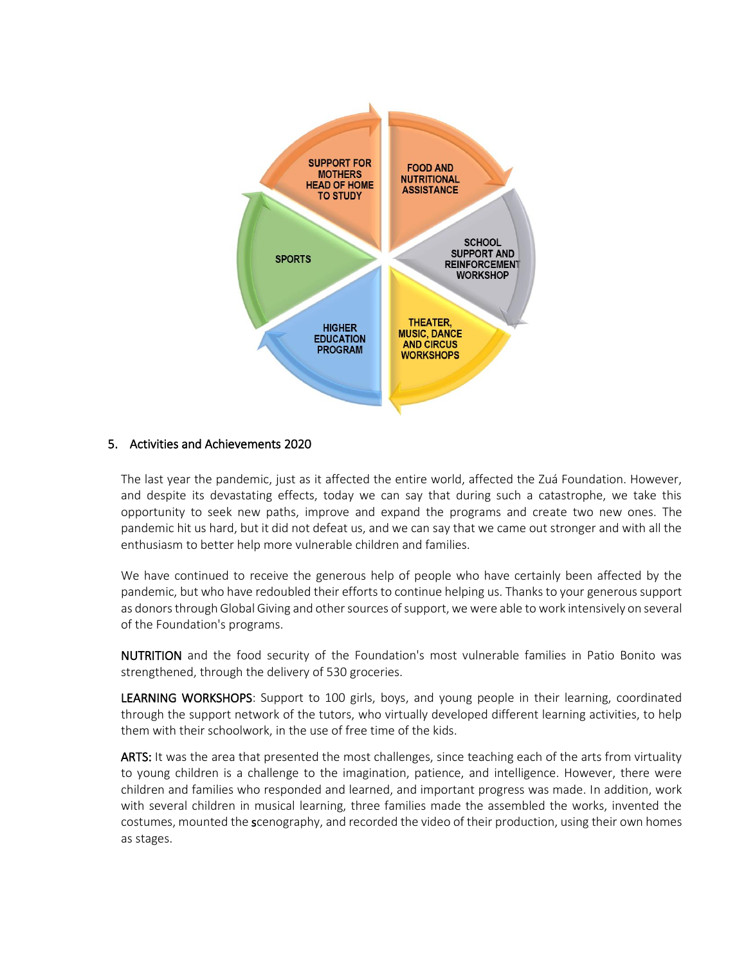

### 5. Activities and Achievements 2020

The last year the pandemic, just as it affected the entire world, affected the Zuá Foundation. However, and despite its devastating effects, today we can say that during such a catastrophe, we take this opportunity to seek new paths, improve and expand the programs and create two new ones. The pandemic hit us hard, but it did not defeat us, and we can say that we came out stronger and with all the enthusiasm to better help more vulnerable children and families.

We have continued to receive the generous help of people who have certainly been affected by the pandemic, but who have redoubled their efforts to continue helping us. Thanks to your generous support as donors through Global Giving and other sources of support, we were able to work intensively on several of the Foundation's programs.

NUTRITION and the food security of the Foundation's most vulnerable families in Patio Bonito was strengthened, through the delivery of 530 groceries.

LEARNING WORKSHOPS: Support to 100 girls, boys, and young people in their learning, coordinated through the support network of the tutors, who virtually developed different learning activities, to help them with their schoolwork, in the use of free time of the kids.

ARTS: It was the area that presented the most challenges, since teaching each of the arts from virtuality to young children is a challenge to the imagination, patience, and intelligence. However, there were children and families who responded and learned, and important progress was made. In addition, work with several children in musical learning, three families made the assembled the works, invented the costumes, mounted the scenography, and recorded the video of their production, using their own homes as stages.